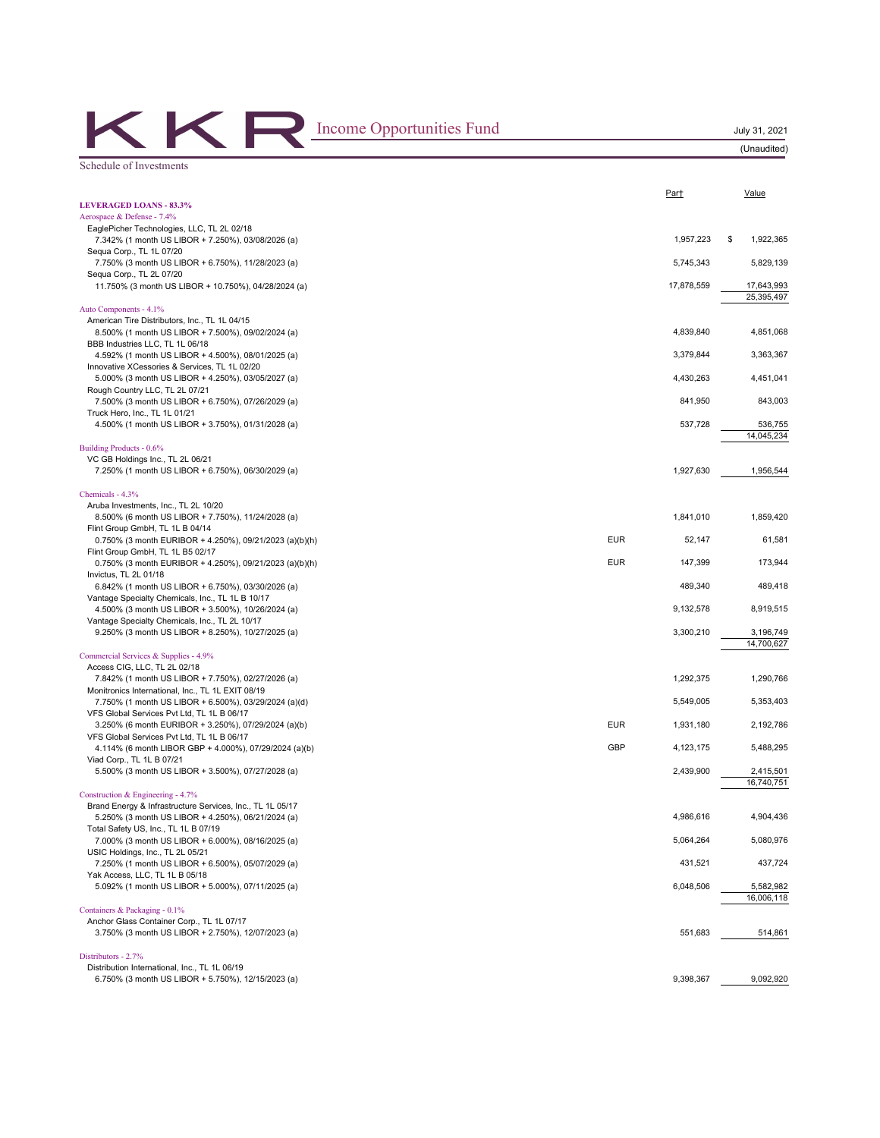| Income Opportunities Fund                                                                   |            |            | July 31, 2021<br>(Unaudited) |
|---------------------------------------------------------------------------------------------|------------|------------|------------------------------|
| Schedule of Investments                                                                     |            |            |                              |
|                                                                                             |            |            |                              |
| <b>LEVERAGED LOANS - 83.3%</b>                                                              |            | Part       | Value                        |
| Aerospace & Defense - 7.4%                                                                  |            |            |                              |
| EaglePicher Technologies, LLC, TL 2L 02/18                                                  |            |            |                              |
| 7.342% (1 month US LIBOR + 7.250%), 03/08/2026 (a)                                          |            | 1,957,223  | 1,922,365<br>\$              |
| Sequa Corp., TL 1L 07/20                                                                    |            |            |                              |
| 7.750% (3 month US LIBOR + 6.750%), 11/28/2023 (a)                                          |            | 5,745,343  | 5,829,139                    |
| Sequa Corp., TL 2L 07/20                                                                    |            |            |                              |
| 11.750% (3 month US LIBOR + 10.750%), 04/28/2024 (a)                                        |            | 17,878,559 | 17,643,993<br>25,395,497     |
| Auto Components - 4.1%                                                                      |            |            |                              |
| American Tire Distributors, Inc., TL 1L 04/15                                               |            |            |                              |
| 8.500% (1 month US LIBOR + 7.500%), 09/02/2024 (a)                                          |            | 4,839,840  | 4,851,068                    |
| BBB Industries LLC, TL 1L 06/18                                                             |            |            |                              |
| 4.592% (1 month US LIBOR + 4.500%), 08/01/2025 (a)                                          |            | 3,379,844  | 3,363,367                    |
| Innovative XCessories & Services, TL 1L 02/20                                               |            |            |                              |
| 5.000% (3 month US LIBOR + 4.250%), 03/05/2027 (a)                                          |            | 4,430,263  | 4,451,041                    |
| Rough Country LLC, TL 2L 07/21                                                              |            |            |                              |
| 7.500% (3 month US LIBOR + 6.750%), 07/26/2029 (a)                                          |            | 841,950    | 843,003                      |
| Truck Hero, Inc., TL 1L 01/21                                                               |            |            |                              |
| 4.500% (1 month US LIBOR + 3.750%), 01/31/2028 (a)                                          |            | 537,728    | 536,755                      |
|                                                                                             |            |            | 14,045,234                   |
| Building Products - 0.6%                                                                    |            |            |                              |
| VC GB Holdings Inc., TL 2L 06/21                                                            |            |            |                              |
| 7.250% (1 month US LIBOR + 6.750%), 06/30/2029 (a)                                          |            | 1,927,630  | 1,956,544                    |
|                                                                                             |            |            |                              |
| Chemicals - 4.3%                                                                            |            |            |                              |
| Aruba Investments, Inc., TL 2L 10/20                                                        |            |            |                              |
| 8.500% (6 month US LIBOR + 7.750%), 11/24/2028 (a)                                          |            | 1,841,010  | 1,859,420                    |
| Flint Group GmbH, TL 1L B 04/14                                                             | <b>EUR</b> | 52,147     | 61,581                       |
| 0.750% (3 month EURIBOR + 4.250%), 09/21/2023 (a)(b)(h)<br>Flint Group GmbH, TL 1L B5 02/17 |            |            |                              |
| 0.750% (3 month EURIBOR + 4.250%), 09/21/2023 (a)(b)(h)                                     | <b>EUR</b> | 147,399    | 173,944                      |
| Invictus, TL 2L 01/18                                                                       |            |            |                              |
| 6.842% (1 month US LIBOR + 6.750%), 03/30/2026 (a)                                          |            | 489,340    | 489,418                      |
| Vantage Specialty Chemicals, Inc., TL 1L B 10/17                                            |            |            |                              |
| 4.500% (3 month US LIBOR + 3.500%), 10/26/2024 (a)                                          |            | 9,132,578  | 8,919,515                    |
| Vantage Specialty Chemicals, Inc., TL 2L 10/17                                              |            |            |                              |
| 9.250% (3 month US LIBOR + 8.250%), 10/27/2025 (a)                                          |            | 3,300,210  | 3,196,749                    |
|                                                                                             |            |            | 14,700,627                   |
| Commercial Services & Supplies - 4.9%                                                       |            |            |                              |
| Access CIG, LLC, TL 2L 02/18                                                                |            |            |                              |
| 7.842% (1 month US LIBOR + 7.750%), 02/27/2026 (a)                                          |            | 1,292,375  | 1,290,766                    |
| Monitronics International, Inc., TL 1L EXIT 08/19                                           |            |            |                              |
| 7.750% (1 month US LIBOR + 6.500%), 03/29/2024 (a)(d)                                       |            | 5,549,005  | 5,353,403                    |
| VFS Global Services Pvt Ltd, TL 1L B 06/17                                                  |            |            |                              |
| 3.250% (6 month EURIBOR + 3.250%), 07/29/2024 (a)(b)                                        | <b>EUR</b> | 1,931,180  | 2,192,786                    |
| VFS Global Services Pvt Ltd, TL 1L B 06/17                                                  |            |            |                              |
| 4.114% (6 month LIBOR GBP + 4.000%), 07/29/2024 (a)(b)                                      | GBP        | 4,123,175  | 5,488,295                    |
| Viad Corp., TL 1L B 07/21                                                                   |            |            |                              |
| 5.500% (3 month US LIBOR + 3.500%), 07/27/2028 (a)                                          |            | 2,439,900  | 2,415,501                    |
|                                                                                             |            |            | 16,740,751                   |
| Construction & Engineering - 4.7%                                                           |            |            |                              |
| Brand Energy & Infrastructure Services, Inc., TL 1L 05/17                                   |            | 4,986,616  | 4,904,436                    |
| 5.250% (3 month US LIBOR + 4.250%), 06/21/2024 (a)<br>Total Safety US, Inc., TL 1L B 07/19  |            |            |                              |
| 7.000% (3 month US LIBOR + 6.000%), 08/16/2025 (a)                                          |            | 5,064,264  | 5,080,976                    |
| USIC Holdings, Inc., TL 2L 05/21                                                            |            |            |                              |
| 7.250% (1 month US LIBOR + 6.500%), 05/07/2029 (a)                                          |            | 431,521    | 437,724                      |
| Yak Access, LLC, TL 1L B 05/18                                                              |            |            |                              |
| 5.092% (1 month US LIBOR + 5.000%), 07/11/2025 (a)                                          |            | 6,048,506  | 5,582,982                    |
|                                                                                             |            |            | 16,006,118                   |
| Containers & Packaging - 0.1%                                                               |            |            |                              |
| Anchor Glass Container Corp., TL 1L 07/17                                                   |            |            |                              |
| 3.750% (3 month US LIBOR + 2.750%), 12/07/2023 (a)                                          |            | 551,683    | 514,861                      |
|                                                                                             |            |            |                              |
| Distributors - 2.7%                                                                         |            |            |                              |
| Distribution International, Inc., TL 1L 06/19                                               |            |            |                              |
| 6.750% (3 month US LIBOR + 5.750%), 12/15/2023 (a)                                          |            | 9,398,367  | 9,092,920                    |
|                                                                                             |            |            |                              |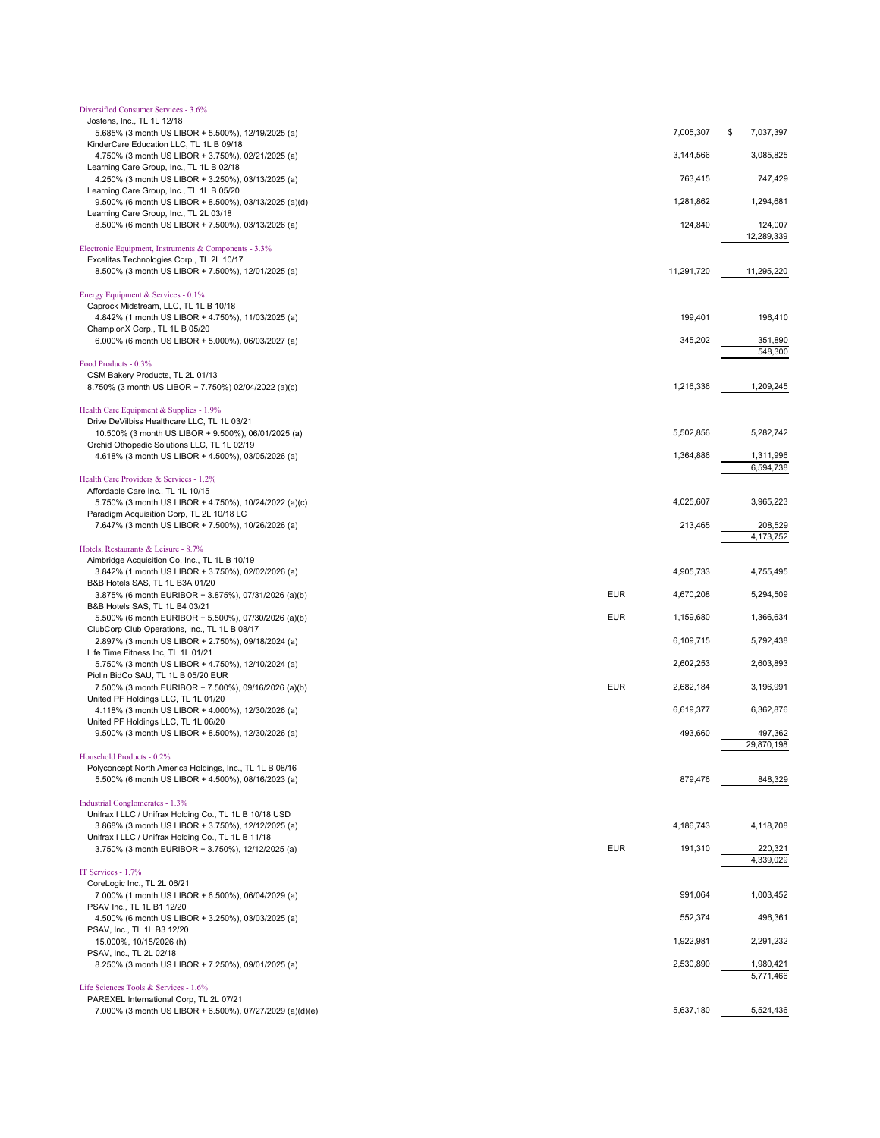| Diversified Consumer Services - 3.6%                                                                          |            |            |                      |
|---------------------------------------------------------------------------------------------------------------|------------|------------|----------------------|
| Jostens, Inc., TL 1L 12/18                                                                                    |            |            |                      |
| 5.685% (3 month US LIBOR + 5.500%), 12/19/2025 (a)<br>KinderCare Education LLC, TL 1L B 09/18                 |            | 7,005,307  | \$<br>7,037,397      |
| 4.750% (3 month US LIBOR + 3.750%), 02/21/2025 (a)                                                            |            | 3,144,566  | 3,085,825            |
| Learning Care Group, Inc., TL 1L B 02/18                                                                      |            |            |                      |
| 4.250% (3 month US LIBOR + 3.250%), 03/13/2025 (a)                                                            |            | 763,415    | 747,429              |
| Learning Care Group, Inc., TL 1L B 05/20                                                                      |            |            |                      |
| 9.500% (6 month US LIBOR + 8.500%), 03/13/2025 (a)(d)                                                         |            | 1,281,862  | 1,294,681            |
| Learning Care Group, Inc., TL 2L 03/18<br>8.500% (6 month US LIBOR + 7.500%), 03/13/2026 (a)                  |            | 124,840    | 124,007              |
|                                                                                                               |            |            | 12,289,339           |
| Electronic Equipment, Instruments & Components - 3.3%                                                         |            |            |                      |
| Excelitas Technologies Corp., TL 2L 10/17                                                                     |            |            |                      |
| 8.500% (3 month US LIBOR + 7.500%), 12/01/2025 (a)                                                            |            | 11,291,720 | 11,295,220           |
| Energy Equipment & Services - 0.1%                                                                            |            |            |                      |
| Caprock Midstream, LLC, TL 1L B 10/18                                                                         |            |            |                      |
| 4.842% (1 month US LIBOR + 4.750%), 11/03/2025 (a)                                                            |            | 199,401    | 196,410              |
| ChampionX Corp., TL 1L B 05/20                                                                                |            |            |                      |
| 6.000% (6 month US LIBOR + 5.000%), 06/03/2027 (a)                                                            |            | 345,202    | 351,890              |
|                                                                                                               |            |            | 548,300              |
| Food Products - 0.3%<br>CSM Bakery Products, TL 2L 01/13                                                      |            |            |                      |
| 8.750% (3 month US LIBOR + 7.750%) 02/04/2022 (a)(c)                                                          |            | 1,216,336  | 1,209,245            |
|                                                                                                               |            |            |                      |
| Health Care Equipment & Supplies - 1.9%                                                                       |            |            |                      |
| Drive DeVilbiss Healthcare LLC, TL 1L 03/21                                                                   |            |            |                      |
| 10.500% (3 month US LIBOR + 9.500%), 06/01/2025 (a)                                                           |            | 5,502,856  | 5,282,742            |
| Orchid Othopedic Solutions LLC, TL 1L 02/19<br>4.618% (3 month US LIBOR + 4.500%), 03/05/2026 (a)             |            | 1,364,886  | 1,311,996            |
|                                                                                                               |            |            | 6,594,738            |
| Health Care Providers & Services - 1.2%                                                                       |            |            |                      |
| Affordable Care Inc., TL 1L 10/15                                                                             |            |            |                      |
| 5.750% (3 month US LIBOR + 4.750%), 10/24/2022 (a)(c)                                                         |            | 4,025,607  | 3,965,223            |
| Paradigm Acquisition Corp, TL 2L 10/18 LC                                                                     |            | 213,465    |                      |
| 7.647% (3 month US LIBOR + 7.500%), 10/26/2026 (a)                                                            |            |            | 208,529<br>4,173,752 |
| Hotels, Restaurants & Leisure - 8.7%                                                                          |            |            |                      |
| Aimbridge Acquisition Co, Inc., TL 1L B 10/19                                                                 |            |            |                      |
| 3.842% (1 month US LIBOR + 3.750%), 02/02/2026 (a)                                                            |            | 4,905,733  | 4,755,495            |
| B&B Hotels SAS, TL 1L B3A 01/20                                                                               |            |            |                      |
| 3.875% (6 month EURIBOR + 3.875%), 07/31/2026 (a)(b)                                                          | <b>EUR</b> | 4,670,208  | 5,294,509            |
| B&B Hotels SAS, TL 1L B4 03/21<br>5.500% (6 month EURIBOR + 5.500%), 07/30/2026 (a)(b)                        | <b>EUR</b> | 1,159,680  | 1,366,634            |
| ClubCorp Club Operations, Inc., TL 1L B 08/17                                                                 |            |            |                      |
| 2.897% (3 month US LIBOR + 2.750%), 09/18/2024 (a)                                                            |            | 6,109,715  | 5,792,438            |
| Life Time Fitness Inc, TL 1L 01/21                                                                            |            |            |                      |
| 5.750% (3 month US LIBOR + 4.750%), 12/10/2024 (a)                                                            |            | 2,602,253  | 2,603,893            |
| Piolin BidCo SAU, TL 1L B 05/20 EUR                                                                           | <b>EUR</b> | 2,682,184  | 3,196,991            |
| 7.500% (3 month EURIBOR + 7.500%), 09/16/2026 (a)(b)<br>United PF Holdings LLC, TL 1L 01/20                   |            |            |                      |
| 4.118% (3 month US LIBOR + 4.000%), 12/30/2026 (a)                                                            |            | 6,619,377  | 6,362,876            |
| United PF Holdings LLC, TL 1L 06/20                                                                           |            |            |                      |
| 9.500% (3 month US LIBOR + 8.500%), 12/30/2026 (a)                                                            |            | 493,660    | 497,362              |
|                                                                                                               |            |            | 29,870,198           |
| Household Products - 0.2%                                                                                     |            |            |                      |
| Polyconcept North America Holdings, Inc., TL 1L B 08/16<br>5.500% (6 month US LIBOR + 4.500%), 08/16/2023 (a) |            | 879,476    | 848,329              |
|                                                                                                               |            |            |                      |
| Industrial Conglomerates - 1.3%                                                                               |            |            |                      |
| Unifrax I LLC / Unifrax Holding Co., TL 1L B 10/18 USD                                                        |            |            |                      |
| 3.868% (3 month US LIBOR + 3.750%), 12/12/2025 (a)                                                            |            | 4,186,743  | 4,118,708            |
| Unifrax I LLC / Unifrax Holding Co., TL 1L B 11/18<br>3.750% (3 month EURIBOR + 3.750%), 12/12/2025 (a)       | <b>EUR</b> | 191,310    | 220,321              |
|                                                                                                               |            |            | 4,339,029            |
| IT Services - 1.7%                                                                                            |            |            |                      |
| CoreLogic Inc., TL 2L 06/21                                                                                   |            |            |                      |
| 7.000% (1 month US LIBOR + 6.500%), 06/04/2029 (a)                                                            |            | 991,064    | 1,003,452            |
| PSAV Inc., TL 1L B1 12/20                                                                                     |            |            |                      |
| 4.500% (6 month US LIBOR + 3.250%), 03/03/2025 (a)<br>PSAV, Inc., TL 1L B3 12/20                              |            | 552,374    | 496,361              |
| 15.000%, 10/15/2026 (h)                                                                                       |            | 1,922,981  | 2,291,232            |
| PSAV, Inc., TL 2L 02/18                                                                                       |            |            |                      |
| 8.250% (3 month US LIBOR + 7.250%), 09/01/2025 (a)                                                            |            | 2,530,890  | 1,980,421            |
|                                                                                                               |            |            | 5,771,466            |
| Life Sciences Tools & Services - 1.6%                                                                         |            |            |                      |
| PAREXEL International Corp, TL 2L 07/21<br>7.000% (3 month US LIBOR + 6.500%), 07/27/2029 (a)(d)(e)           |            | 5,637,180  | 5,524,436            |
|                                                                                                               |            |            |                      |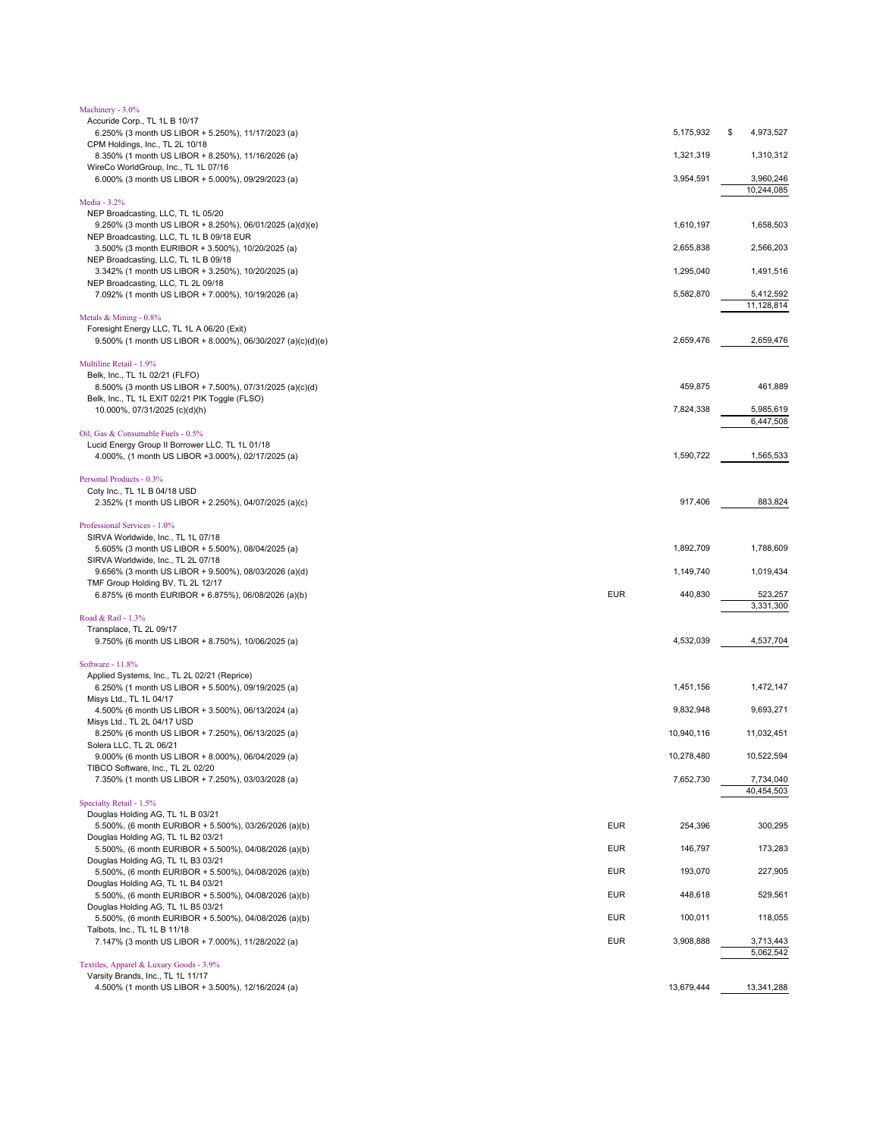| Machinery - 3.0%                                                                              |            |            |                         |
|-----------------------------------------------------------------------------------------------|------------|------------|-------------------------|
| Accuride Corp., TL 1L B 10/17                                                                 |            | 5,175,932  | 4,973,527<br>\$         |
| 6.250% (3 month US LIBOR + 5.250%), 11/17/2023 (a)<br>CPM Holdings, Inc., TL 2L 10/18         |            |            |                         |
| 8.350% (1 month US LIBOR + 8.250%), 11/16/2026 (a)                                            |            | 1,321,319  | 1,310,312               |
| WireCo WorldGroup, Inc., TL 1L 07/16                                                          |            |            |                         |
| 6.000% (3 month US LIBOR + 5.000%), 09/29/2023 (a)                                            |            | 3,954,591  | 3,960,246<br>10,244,085 |
| Media - 3.2%                                                                                  |            |            |                         |
| NEP Broadcasting, LLC, TL 1L 05/20                                                            |            |            |                         |
| 9.250% (3 month US LIBOR + 8.250%), 06/01/2025 (a)(d)(e)                                      |            | 1,610,197  | 1,658,503               |
| NEP Broadcasting, LLC, TL 1L B 09/18 EUR<br>3.500% (3 month EURIBOR + 3.500%), 10/20/2025 (a) |            | 2,655,838  | 2,566,203               |
| NEP Broadcasting, LLC, TL 1L B 09/18                                                          |            |            |                         |
| 3.342% (1 month US LIBOR + 3.250%), 10/20/2025 (a)                                            |            | 1,295,040  | 1,491,516               |
| NEP Broadcasting, LLC, TL 2L 09/18                                                            |            |            | 5,412,592               |
| 7.092% (1 month US LIBOR + 7.000%), 10/19/2026 (a)                                            |            | 5,582,870  | 11,128,814              |
| Metals & Mining - 0.8%                                                                        |            |            |                         |
| Foresight Energy LLC, TL 1L A 06/20 (Exit)                                                    |            |            |                         |
| 9.500% (1 month US LIBOR + 8.000%), 06/30/2027 (a)(c)(d)(e)                                   |            | 2,659,476  | 2,659,476               |
| Multiline Retail - 1.9%                                                                       |            |            |                         |
| Belk, Inc., TL 1L 02/21 (FLFO)                                                                |            |            |                         |
| 8.500% (3 month US LIBOR + 7.500%), 07/31/2025 (a)(c)(d)                                      |            | 459,875    | 461,889                 |
| Belk, Inc., TL 1L EXIT 02/21 PIK Toggle (FLSO)                                                |            |            |                         |
| 10.000%, 07/31/2025 (c)(d)(h)                                                                 |            | 7,824,338  | 5,985,619<br>6,447,508  |
| Oil, Gas & Consumable Fuels - 0.5%                                                            |            |            |                         |
| Lucid Energy Group II Borrower LLC, TL 1L 01/18                                               |            |            |                         |
| 4.000%, (1 month US LIBOR +3.000%), 02/17/2025 (a)                                            |            | 1,590,722  | 1,565,533               |
| Personal Products - 0.3%                                                                      |            |            |                         |
| Coty Inc., TL 1L B 04/18 USD                                                                  |            |            |                         |
| 2.352% (1 month US LIBOR + 2.250%), 04/07/2025 (a)(c)                                         |            | 917,406    | 883,824                 |
|                                                                                               |            |            |                         |
| Professional Services - 1.0%<br>SIRVA Worldwide, Inc., TL 1L 07/18                            |            |            |                         |
| 5.605% (3 month US LIBOR + 5.500%), 08/04/2025 (a)                                            |            | 1,892,709  | 1,788,609               |
| SIRVA Worldwide, Inc., TL 2L 07/18                                                            |            |            |                         |
| 9.656% (3 month US LIBOR + 9.500%), 08/03/2026 (a)(d)                                         |            | 1,149,740  | 1,019,434               |
| TMF Group Holding BV, TL 2L 12/17<br>6.875% (6 month EURIBOR + 6.875%), 06/08/2026 (a)(b)     | <b>EUR</b> | 440,830    | 523,257                 |
|                                                                                               |            |            | 3,331,300               |
| Road & Rail - 1.3%                                                                            |            |            |                         |
| Transplace, TL 2L 09/17                                                                       |            |            |                         |
| 9.750% (6 month US LIBOR + 8.750%), 10/06/2025 (a)                                            |            | 4,532,039  | 4,537,704               |
| Software - 11.8%                                                                              |            |            |                         |
| Applied Systems, Inc., TL 2L 02/21 (Reprice)                                                  |            |            |                         |
| 6.250% (1 month US LIBOR + 5.500%), 09/19/2025 (a)<br>Misys Ltd., TL 1L 04/17                 |            | 1,451,156  | 1,472,147               |
| 4.500% (6 month US LIBOR + 3.500%), 06/13/2024 (a)                                            |            | 9,832,948  | 9,693,271               |
| Misys Ltd., TL 2L 04/17 USD                                                                   |            |            |                         |
| 8.250% (6 month US LIBOR + 7.250%), 06/13/2025 (a)                                            |            | 10,940,116 | 11,032,451              |
| Solera LLC, TL 2L 06/21<br>9.000% (6 month US LIBOR + 8.000%), 06/04/2029 (a)                 |            | 10,278,480 | 10,522,594              |
| TIBCO Software, Inc., TL 2L 02/20                                                             |            |            |                         |
| 7.350% (1 month US LIBOR + 7.250%), 03/03/2028 (a)                                            |            | 7,652,730  | 7,734,040               |
|                                                                                               |            |            | 40,454,503              |
| Specialty Retail - 1.5%                                                                       |            |            |                         |
| Douglas Holding AG, TL 1L B 03/21<br>5.500%, (6 month EURIBOR + 5.500%), 03/26/2026 (a)(b)    | <b>EUR</b> | 254,396    | 300,295                 |
| Douglas Holding AG, TL 1L B2 03/21                                                            |            |            |                         |
| 5.500%, (6 month EURIBOR + 5.500%), 04/08/2026 (a)(b)                                         | <b>EUR</b> | 146,797    | 173,283                 |
| Douglas Holding AG, TL 1L B3 03/21                                                            | <b>EUR</b> |            | 227,905                 |
| 5.500%, (6 month EURIBOR + 5.500%), 04/08/2026 (a)(b)<br>Douglas Holding AG, TL 1L B4 03/21   |            | 193,070    |                         |
| 5.500%, (6 month EURIBOR + 5.500%), 04/08/2026 (a)(b)                                         | <b>EUR</b> | 448,618    | 529,561                 |
| Douglas Holding AG, TL 1L B5 03/21                                                            |            |            |                         |
| 5.500%, (6 month EURIBOR + 5.500%), 04/08/2026 (a)(b)                                         | <b>EUR</b> | 100,011    | 118,055                 |
| Talbots, Inc., TL 1L B 11/18<br>7.147% (3 month US LIBOR + 7.000%), 11/28/2022 (a)            | <b>EUR</b> | 3,908,888  | 3,713,443               |
|                                                                                               |            |            | 5,062,542               |
| Textiles, Apparel & Luxury Goods - 3.9%                                                       |            |            |                         |
| Varsity Brands, Inc., TL 1L 11/17                                                             |            |            |                         |
| 4.500% (1 month US LIBOR + 3.500%), 12/16/2024 (a)                                            |            | 13,679,444 | 13,341,288              |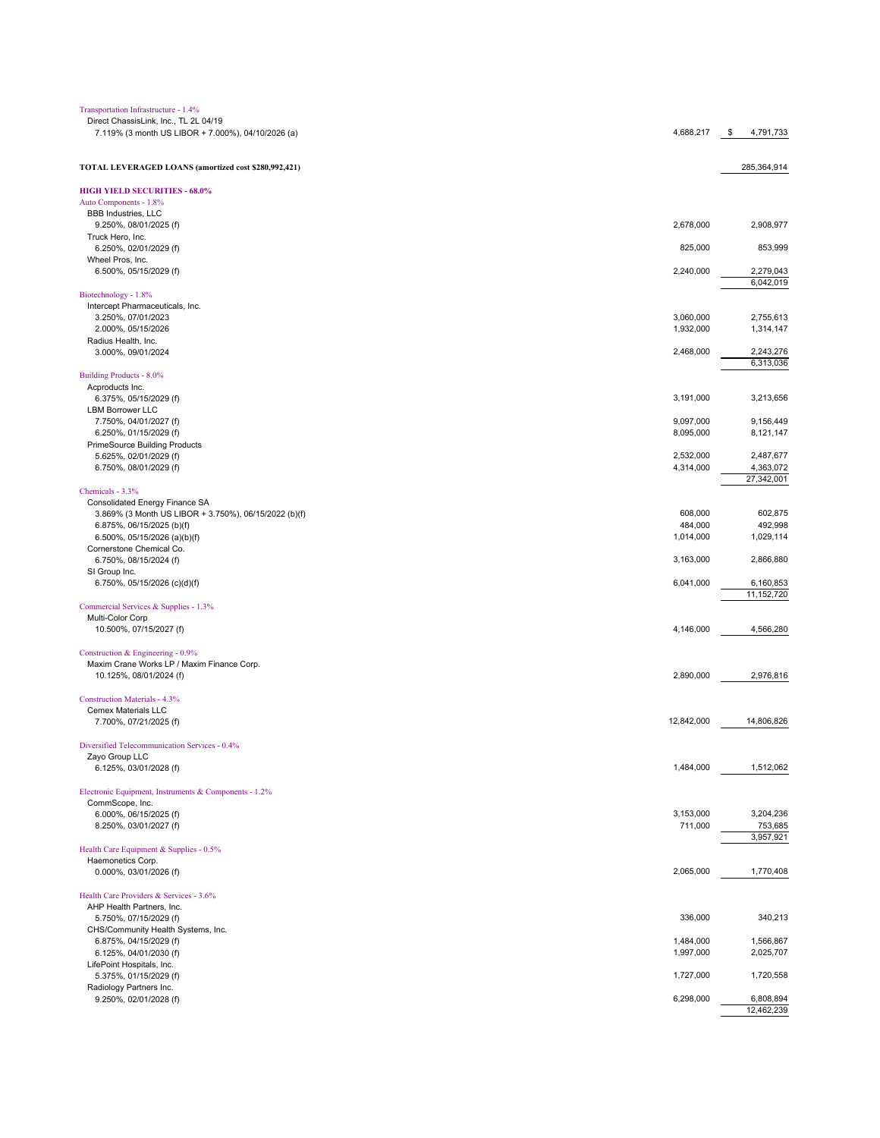| Transportation Infrastructure - 1.4%                                                        |            |                         |
|---------------------------------------------------------------------------------------------|------------|-------------------------|
| Direct ChassisLink, Inc., TL 2L 04/19<br>7.119% (3 month US LIBOR + 7.000%), 04/10/2026 (a) | 4,688,217  | 4,791,733<br>\$         |
|                                                                                             |            |                         |
|                                                                                             |            |                         |
| TOTAL LEVERAGED LOANS (amortized cost \$280,992,421)                                        |            | 285,364,914             |
| <b>HIGH YIELD SECURITIES - 68.0%</b>                                                        |            |                         |
| Auto Components - 1.8%                                                                      |            |                         |
| <b>BBB</b> Industries, LLC                                                                  |            |                         |
| 9.250%, 08/01/2025 (f)<br>Truck Hero, Inc.                                                  | 2,678,000  | 2,908,977               |
| 6.250%, 02/01/2029 (f)                                                                      | 825,000    | 853,999                 |
| Wheel Pros, Inc.                                                                            |            |                         |
| 6.500%, 05/15/2029 (f)                                                                      | 2,240,000  | 2,279,043               |
| Biotechnology - 1.8%                                                                        |            | 6,042,019               |
| Intercept Pharmaceuticals, Inc.                                                             |            |                         |
| 3.250%, 07/01/2023                                                                          | 3,060,000  | 2,755,613               |
| 2.000%, 05/15/2026                                                                          | 1,932,000  | 1,314,147               |
| Radius Health, Inc.                                                                         |            |                         |
| 3.000%, 09/01/2024                                                                          | 2,468,000  | 2,243,276<br>6,313,036  |
| Building Products - 8.0%                                                                    |            |                         |
| Acproducts Inc.                                                                             |            |                         |
| 6.375%, 05/15/2029 (f)                                                                      | 3,191,000  | 3,213,656               |
| <b>LBM Borrower LLC</b><br>7.750%, 04/01/2027 (f)                                           | 9,097,000  | 9,156,449               |
| 6.250%, 01/15/2029 (f)                                                                      | 8,095,000  | 8,121,147               |
| <b>PrimeSource Building Products</b>                                                        |            |                         |
| 5.625%, 02/01/2029 (f)                                                                      | 2,532,000  | 2,487,677               |
| 6.750%, 08/01/2029 (f)                                                                      | 4,314,000  | 4,363,072<br>27,342,001 |
| Chemicals - 3.3%                                                                            |            |                         |
| Consolidated Energy Finance SA                                                              |            |                         |
| 3.869% (3 Month US LIBOR + 3.750%), 06/15/2022 (b)(f)                                       | 608,000    | 602,875                 |
| 6.875%, 06/15/2025 (b)(f)                                                                   | 484,000    | 492,998                 |
| 6.500%, 05/15/2026 (a)(b)(f)<br>Cornerstone Chemical Co.                                    | 1,014,000  | 1,029,114               |
| 6.750%, 08/15/2024 (f)                                                                      | 3,163,000  | 2,866,880               |
| SI Group Inc.                                                                               |            |                         |
| 6.750%, 05/15/2026 (c)(d)(f)                                                                | 6,041,000  | 6,160,853               |
|                                                                                             |            | 11,152,720              |
| Commercial Services & Supplies - 1.3%<br>Multi-Color Corp                                   |            |                         |
| 10.500%, 07/15/2027 (f)                                                                     | 4,146,000  | 4,566,280               |
|                                                                                             |            |                         |
| Construction & Engineering - 0.9%<br>Maxim Crane Works LP / Maxim Finance Corp.             |            |                         |
| 10.125%, 08/01/2024 (f)                                                                     | 2,890,000  | 2,976,816               |
|                                                                                             |            |                         |
| Construction Materials - 4.3%                                                               |            |                         |
| <b>Cemex Materials LLC</b>                                                                  |            |                         |
| 7.700%, 07/21/2025 (f)                                                                      | 12,842,000 | 14,806,826              |
| Diversified Telecommunication Services - 0.4%                                               |            |                         |
| Zayo Group LLC                                                                              |            |                         |
| 6.125%, 03/01/2028 (f)                                                                      | 1,484,000  | 1,512,062               |
| Electronic Equipment, Instruments & Components - 1.2%                                       |            |                         |
| CommScope, Inc.                                                                             |            |                         |
| 6.000%, 06/15/2025 (f)                                                                      | 3,153,000  | 3,204,236               |
| 8.250%, 03/01/2027 (f)                                                                      | 711,000    | 753,685                 |
|                                                                                             |            | 3,957,921               |
| Health Care Equipment & Supplies - 0.5%<br>Haemonetics Corp.                                |            |                         |
| 0.000%, 03/01/2026 (f)                                                                      | 2,065,000  | 1,770,408               |
|                                                                                             |            |                         |
| Health Care Providers & Services - 3.6%<br>AHP Health Partners, Inc.                        |            |                         |
| 5.750%, 07/15/2029 (f)                                                                      | 336,000    | 340,213                 |
| CHS/Community Health Systems, Inc.                                                          |            |                         |
| 6.875%, 04/15/2029 (f)                                                                      | 1,484,000  | 1,566,867               |
| 6.125%, 04/01/2030 (f)                                                                      | 1,997,000  | 2,025,707               |
| LifePoint Hospitals, Inc.<br>5.375%, 01/15/2029 (f)                                         | 1,727,000  | 1,720,558               |
| Radiology Partners Inc.                                                                     |            |                         |
| 9.250%, 02/01/2028 (f)                                                                      | 6,298,000  | 6,808,894               |
|                                                                                             |            | 12,462,239              |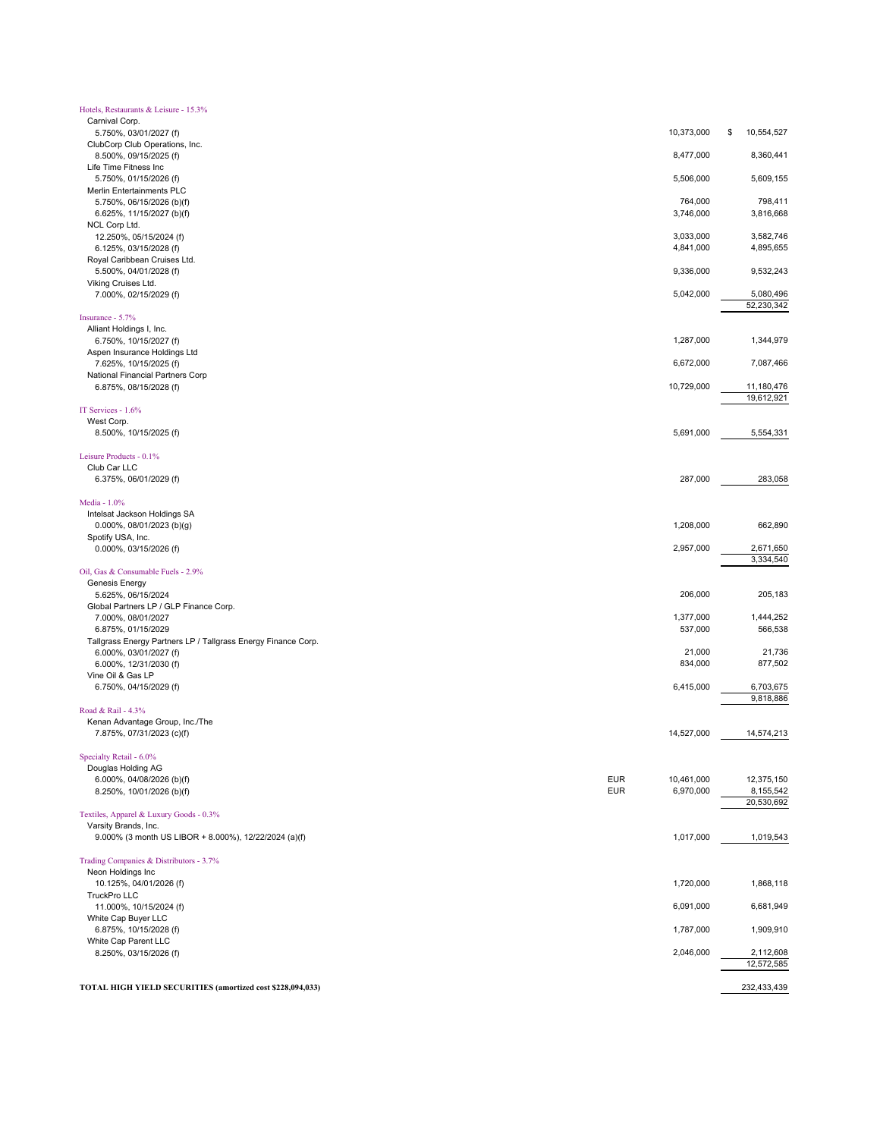| Hotels, Restaurants & Leisure - 15.3%                                         |            |                      |                         |
|-------------------------------------------------------------------------------|------------|----------------------|-------------------------|
| Carnival Corp.<br>5.750%, 03/01/2027 (f)                                      |            | 10,373,000           | 10,554,527<br>\$        |
| ClubCorp Club Operations, Inc.<br>8.500%, 09/15/2025 (f)                      |            | 8,477,000            | 8,360,441               |
| Life Time Fitness Inc<br>5.750%, 01/15/2026 (f)                               |            | 5,506,000            | 5,609,155               |
| Merlin Entertainments PLC                                                     |            |                      |                         |
| 5.750%, 06/15/2026 (b)(f)<br>6.625%, 11/15/2027 (b)(f)                        |            | 764,000<br>3,746,000 | 798,411<br>3,816,668    |
| NCL Corp Ltd.<br>12.250%, 05/15/2024 (f)                                      |            | 3,033,000            | 3,582,746               |
| 6.125%, 03/15/2028 (f)                                                        |            | 4,841,000            | 4,895,655               |
| Royal Caribbean Cruises Ltd.<br>5.500%, 04/01/2028 (f)                        |            | 9,336,000            | 9,532,243               |
| Viking Cruises Ltd.<br>7.000%, 02/15/2029 (f)                                 |            | 5,042,000            | 5,080,496               |
|                                                                               |            |                      | 52,230,342              |
| Insurance - 5.7%<br>Alliant Holdings I, Inc.                                  |            |                      |                         |
| 6.750%, 10/15/2027 (f)<br>Aspen Insurance Holdings Ltd                        |            | 1,287,000            | 1,344,979               |
| 7.625%, 10/15/2025 (f)                                                        |            | 6,672,000            | 7,087,466               |
| National Financial Partners Corp<br>6.875%, 08/15/2028 (f)                    |            | 10,729,000           | 11,180,476              |
|                                                                               |            |                      | 19,612,921              |
| IT Services - 1.6%<br>West Corp.                                              |            |                      |                         |
| 8.500%, 10/15/2025 (f)                                                        |            | 5,691,000            | 5,554,331               |
| Leisure Products - 0.1%                                                       |            |                      |                         |
| Club Car LLC<br>6.375%, 06/01/2029 (f)                                        |            | 287,000              | 283,058                 |
| Media - 1.0%                                                                  |            |                      |                         |
| Intelsat Jackson Holdings SA                                                  |            |                      |                         |
| 0.000%, 08/01/2023 (b)(g)<br>Spotify USA, Inc.                                |            | 1,208,000            | 662,890                 |
| 0.000%, 03/15/2026 (f)                                                        |            | 2,957,000            | 2,671,650<br>3,334,540  |
| Oil, Gas & Consumable Fuels - 2.9%                                            |            |                      |                         |
| Genesis Energy<br>5.625%, 06/15/2024                                          |            | 206,000              | 205,183                 |
| Global Partners LP / GLP Finance Corp.                                        |            |                      |                         |
| 7.000%, 08/01/2027<br>6.875%, 01/15/2029                                      |            | 1,377,000<br>537,000 | 1,444,252<br>566,538    |
| Tallgrass Energy Partners LP / Tallgrass Energy Finance Corp.                 |            |                      |                         |
| 6.000%, 03/01/2027 (f)<br>6.000%, 12/31/2030 (f)                              |            | 21,000<br>834,000    | 21,736<br>877,502       |
| Vine Oil & Gas LP<br>6.750%, 04/15/2029 (f)                                   |            | 6,415,000            | 6,703,675               |
|                                                                               |            |                      | 9,818,886               |
| Road & Rail - 4.3%<br>Kenan Advantage Group, Inc./The                         |            |                      |                         |
| 7.875%, 07/31/2023 (c)(f)                                                     |            | 14,527,000           | 14,574,213              |
| Specialty Retail - 6.0%                                                       |            |                      |                         |
| Douglas Holding AG                                                            | <b>EUR</b> | 10,461,000           | 12,375,150              |
| 6.000%, 04/08/2026 (b)(f)<br>8.250%, 10/01/2026 (b)(f)                        | <b>EUR</b> | 6,970,000            | 8,155,542               |
| Textiles, Apparel & Luxury Goods - 0.3%                                       |            |                      | 20,530,692              |
| Varsity Brands, Inc.<br>9.000% (3 month US LIBOR + 8.000%), 12/22/2024 (a)(f) |            | 1,017,000            | 1,019,543               |
|                                                                               |            |                      |                         |
| Trading Companies & Distributors - 3.7%<br>Neon Holdings Inc                  |            |                      |                         |
| 10.125%, 04/01/2026 (f)                                                       |            | 1,720,000            | 1,868,118               |
| TruckPro LLC<br>11.000%, 10/15/2024 (f)                                       |            | 6,091,000            | 6,681,949               |
| White Cap Buyer LLC                                                           |            |                      |                         |
| 6.875%, 10/15/2028 (f)<br>White Cap Parent LLC                                |            | 1,787,000            | 1,909,910               |
| 8.250%, 03/15/2026 (f)                                                        |            | 2,046,000            | 2,112,608<br>12,572,585 |
| TOTAL HIGH YIELD SECURITIES (amortized cost \$228,094,033)                    |            |                      | 232,433,439             |
|                                                                               |            |                      |                         |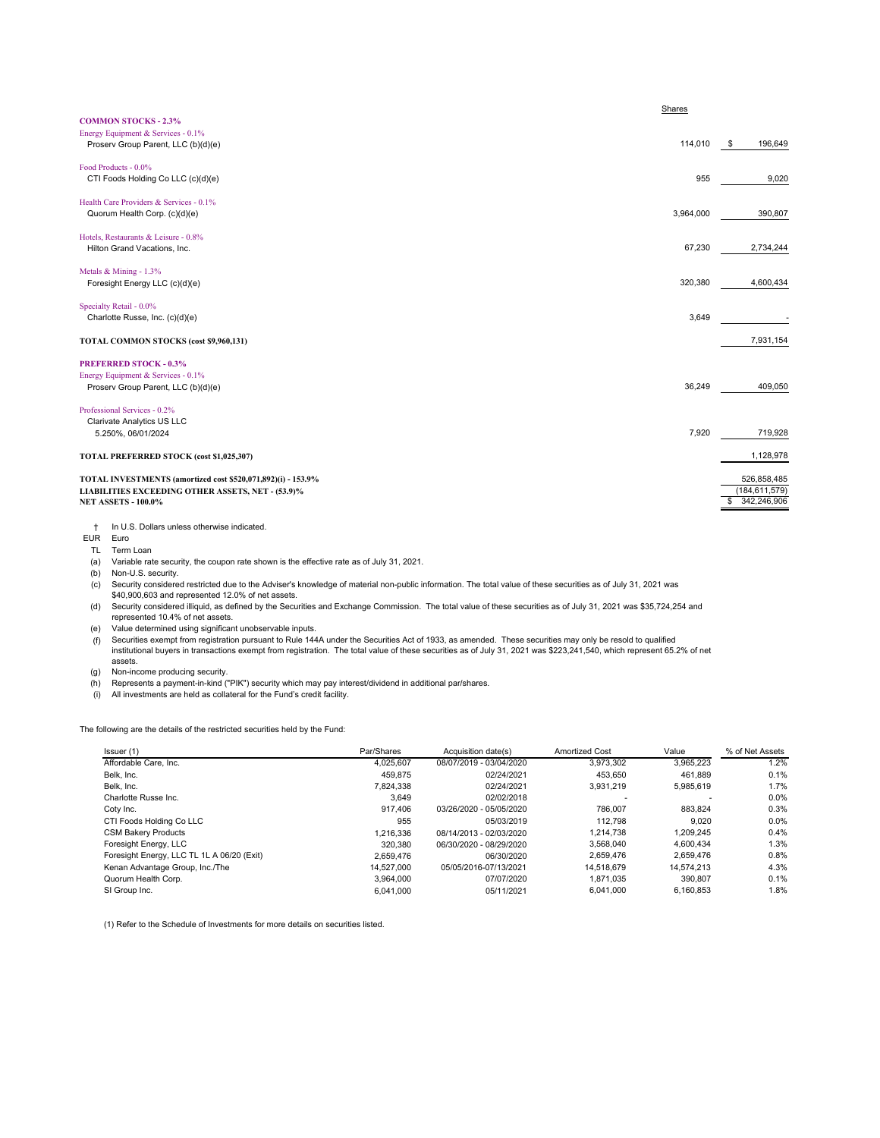| <b>COMMON STOCKS - 2.3%</b>                                                                                                                     | Shares    |                                               |
|-------------------------------------------------------------------------------------------------------------------------------------------------|-----------|-----------------------------------------------|
| Energy Equipment & Services - 0.1%<br>Proserv Group Parent, LLC (b)(d)(e)                                                                       | 114,010   | \$<br>196,649                                 |
| Food Products - 0.0%<br>CTI Foods Holding Co LLC (c)(d)(e)                                                                                      | 955       | 9,020                                         |
| Health Care Providers & Services - 0.1%<br>Quorum Health Corp. (c)(d)(e)                                                                        | 3,964,000 | 390,807                                       |
| Hotels, Restaurants & Leisure - 0.8%<br>Hilton Grand Vacations, Inc.                                                                            | 67,230    | 2,734,244                                     |
| Metals & Mining - 1.3%<br>Foresight Energy LLC (c)(d)(e)                                                                                        | 320,380   | 4,600,434                                     |
| Specialty Retail - 0.0%<br>Charlotte Russe, Inc. (c)(d)(e)                                                                                      | 3.649     |                                               |
| TOTAL COMMON STOCKS (cost \$9,960,131)                                                                                                          |           | 7,931,154                                     |
| <b>PREFERRED STOCK - 0.3%</b><br>Energy Equipment & Services - 0.1%<br>Proserv Group Parent, LLC (b)(d)(e)                                      | 36,249    | 409,050                                       |
| Professional Services - 0.2%<br>Clarivate Analytics US LLC<br>5.250%, 06/01/2024                                                                | 7,920     | 719,928                                       |
| TOTAL PREFERRED STOCK (cost \$1,025,307)                                                                                                        |           | 1,128,978                                     |
| TOTAL INVESTMENTS (amortized cost \$520,071,892)(i) - 153.9%<br>LIABILITIES EXCEEDING OTHER ASSETS, NET - (53.9)%<br><b>NET ASSETS - 100.0%</b> |           | 526,858,485<br>(184, 611, 579)<br>342,246,906 |
| In U.S. Dollars unless otherwise indicated.<br>$\ddagger$                                                                                       |           |                                               |

EUR Euro

TL Term Loan

(a) Variable rate security, the coupon rate shown is the effective rate as of July 31, 2021.

(b) Non-U.S. security. (c) Security considered restricted due to the Adviser's knowledge of material non-public information. The total value of these securities as of July 31, 2021 was \$40,900,603 and represented 12.0% of net assets.

(d) Security considered illiquid, as defined by the Securities and Exchange Commission. The total value of these securities as of July 31, 2021 was \$35,724,254 and represented 10.4% of net assets.

(e) Value determined using significant unobservable inputs.

f) Securities exempt from registration pursuant to Rule 144A under the Securities Act of 1933, as amended. These securities may only be resold to qualified<br>institutional buyers in transactions exempt from registration. T assets.

(g) Non-income producing security.

(h) Represents a payment-in-kind ("PIK") security which may pay interest/dividend in additional par/shares.

(i) All investments are held as collateral for the Fund's credit facility.

The following are the details of the restricted securities held by the Fund:

| Issuer (1)                                 | Par/Shares | Acquisition date(s)     | <b>Amortized Cost</b> | Value      | % of Net Assets |
|--------------------------------------------|------------|-------------------------|-----------------------|------------|-----------------|
| Affordable Care, Inc.                      | 4.025.607  | 08/07/2019 - 03/04/2020 | 3.973.302             | 3.965.223  | 1.2%            |
| Belk, Inc.                                 | 459.875    | 02/24/2021              | 453.650               | 461.889    | 0.1%            |
| Belk, Inc.                                 | 7.824.338  | 02/24/2021              | 3.931.219             | 5,985,619  | 1.7%            |
| Charlotte Russe Inc.                       | 3.649      | 02/02/2018              |                       |            | 0.0%            |
| Coty Inc.                                  | 917.406    | 03/26/2020 - 05/05/2020 | 786.007               | 883.824    | 0.3%            |
| CTI Foods Holding Co LLC                   | 955        | 05/03/2019              | 112.798               | 9.020      | $0.0\%$         |
| <b>CSM Bakery Products</b>                 | 1.216.336  | 08/14/2013 - 02/03/2020 | 1.214.738             | 1.209.245  | 0.4%            |
| Foresight Energy, LLC                      | 320,380    | 06/30/2020 - 08/29/2020 | 3.568.040             | 4.600.434  | 1.3%            |
| Foresight Energy, LLC TL 1L A 06/20 (Exit) | 2.659.476  | 06/30/2020              | 2.659.476             | 2.659.476  | 0.8%            |
| Kenan Advantage Group, Inc./The            | 14.527.000 | 05/05/2016-07/13/2021   | 14.518.679            | 14.574.213 | 4.3%            |
| Quorum Health Corp.                        | 3.964.000  | 07/07/2020              | 1.871.035             | 390.807    | 0.1%            |
| SI Group Inc.                              | 6.041.000  | 05/11/2021              | 6.041.000             | 6.160.853  | 1.8%            |

(1) Refer to the Schedule of Investments for more details on securities listed.